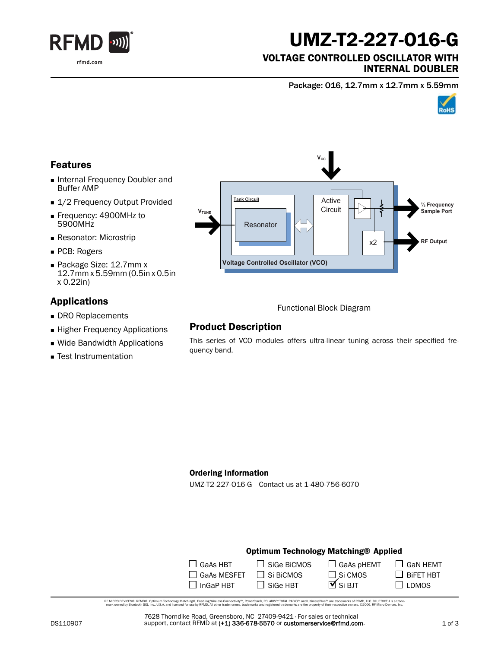

# UMZ-T2-227-O16-G

#### VOLTAGE CONTROLLED OSCILLATOR WITH INTERNAL DOUBLER

Package: O16, 12.7mm x 12.7mm x 5.59mm



## Features

- **Internal Frequency Doubler and** Buffer AMP
- 1/2 Frequency Output Provided
- Frequency: 4900MHz to 5900MHz
- **Resonator: Microstrip**
- PCB: Rogers
- Package Size: 12.7mm x 12.7mm x 5.59mm (0.5in x 0.5in x 0.22in)

## Applications

- DRO Replacements
- **Higher Frequency Applications**
- Wide Bandwidth Applications
- Test Instrumentation



Functional Block Diagram

### Product Description

This series of VCO modules offers ultra-linear tuning across their specified frequency band.

#### Ordering Information

UMZ-T2-227-O16-G Contact us at 1-480-756-6070

#### Optimum Technology Matching® Applied

| $\Box$ GaAs HBT    | $\Box$ SiGe BiCMOS | $\Box$ GaAs pHEMT     |
|--------------------|--------------------|-----------------------|
| $\Box$ GaAs MESFET | $\Box$ Si BiCMOS   | $\Box$ Si CMOS        |
| $\Box$ InGaP HBT   | $\Box$ SiGe HBT    | $\overline{M}$ Si BJT |

RF MCRO DEVCES®, RFMD®, Optimum Technology Matching®, Erabling Wireless Connectivity™, PowerStar®, POLARIS™ TOTAL RADIO™ and UltimateBlue™ are trademarks of RFMD, LLC. BLUETOOTH is a trade<br>… mark owned by Bluetooth SIG, I

7628 Thorndike Road, Greensboro, NC 27409-9421 · For sales or technical support, contact RFMD at (+1) 336-678-5570 or customerservice@rfmd.com.  $\Box$  GaN HEMT

 $\Box$  BiFET HBT  $\square$  LDMOS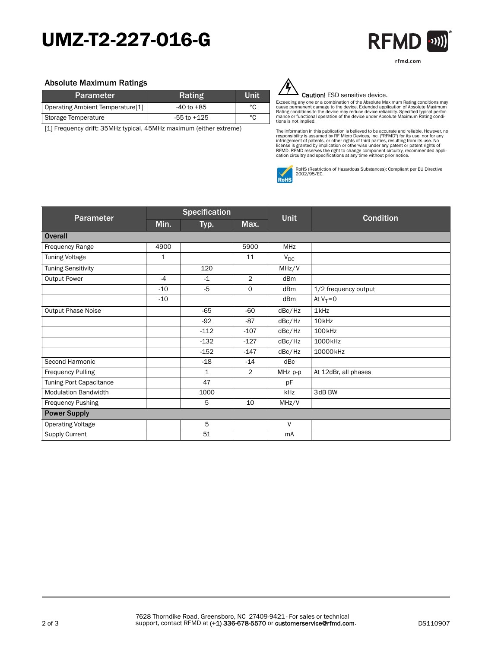## UMZ-T2-227-O16-G



#### Absolute Maximum Ratings

| <b>Parameter</b>                 | Rating          | Unit |
|----------------------------------|-----------------|------|
| Operating Ambient Temperature[1] | $-40$ to $+85$  | °C   |
| Storage Temperature              | $-55$ to $+125$ | °C   |

[1] Frequency drift: 35MHz typical, 45MHz maximum (either extreme)



#### Caution! ESD sensitive device.

Exceeding any one or a combination of the Absolute Maximum Rating conditions may<br>cause permanent damage to the device. Extended application of Absolute Maximum<br>Rating conditions to the device may reduce device reliability. tions is not implied.

The information in this publication is believed to be accurate and reliable. However, no<br>responsibility is assumed by RF Micro Devices, Inc. ("RFMD") for its use, nor for any<br>infringement of patents, or other rights of thi



RoHS (Restriction of Hazardous Substances): Compliant per EU Directive 2002/95/EC.

| Parameter                   | <b>Specification</b> |             |                |                 |                      |
|-----------------------------|----------------------|-------------|----------------|-----------------|----------------------|
|                             | Min.                 | Typ.        | Max.           | <b>Unit</b>     | <b>Condition</b>     |
| <b>Overall</b>              |                      |             |                |                 |                      |
| Frequency Range             | 4900                 |             | 5900           | <b>MHz</b>      |                      |
| <b>Tuning Voltage</b>       | 1                    |             | 11             | $V_{DC}$        |                      |
| <b>Tuning Sensitivity</b>   |                      | 120         |                | MHz/V           |                      |
| <b>Output Power</b>         | $-4$                 | $-1$        | $\overline{2}$ | dBm             |                      |
|                             | $-10$                | $-5$        | 0              | dBm             | 1/2 frequency output |
|                             | $-10$                |             |                | dB <sub>m</sub> | At $V_T = 0$         |
| <b>Output Phase Noise</b>   |                      | $-65$       | $-60$          | dBc/Hz          | 1kHz                 |
|                             |                      | $-92$       | $-87$          | dBc/Hz          | 10 <sub>kHz</sub>    |
|                             |                      | $-112$      | $-107$         | dBc/Hz          | 100 <sub>kHz</sub>   |
|                             |                      | $-132$      | $-127$         | dBc/Hz          | 1000kHz              |
|                             |                      | $-152$      | $-147$         | dBc/Hz          | 10000kHz             |
| Second Harmonic             |                      | $-18$       | $-14$          | dBc             |                      |
| <b>Frequency Pulling</b>    |                      | $\mathbf 1$ | $\overline{2}$ | MHz p-p         | At 12dBr, all phases |
| Tuning Port Capacitance     |                      | 47          |                | pF              |                      |
| <b>Modulation Bandwidth</b> |                      | 1000        |                | kHz             | 3dB BW               |
| Frequency Pushing           |                      | 5           | 10             | MHz/V           |                      |
| <b>Power Supply</b>         |                      |             |                |                 |                      |
| <b>Operating Voltage</b>    |                      | 5           |                | V               |                      |
| Supply Current              |                      | 51          |                | mA              |                      |